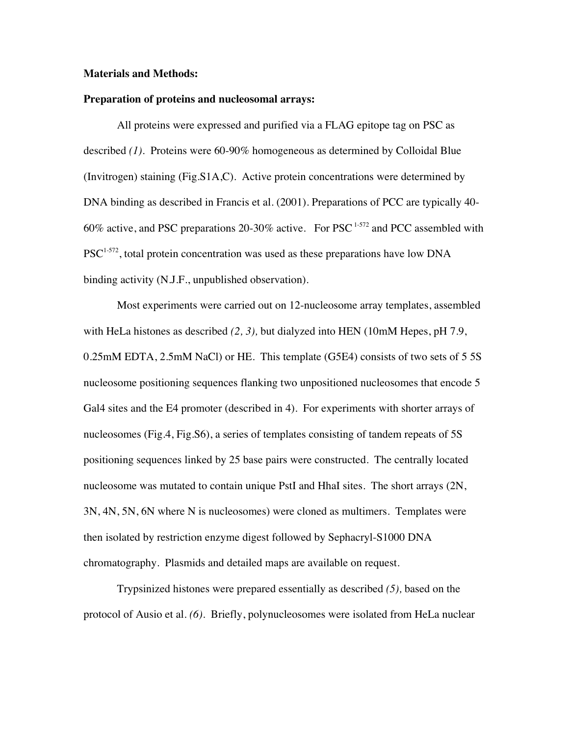#### **Materials and Methods:**

#### **Preparation of proteins and nucleosomal arrays:**

All proteins were expressed and purified via a FLAG epitope tag on PSC as described *(1)*. Proteins were 60-90% homogeneous as determined by Colloidal Blue (Invitrogen) staining (Fig.S1A,C). Active protein concentrations were determined by DNA binding as described in Francis et al. (2001). Preparations of PCC are typically 40- 60% active, and PSC preparations 20-30% active. For PSC<sup>1-572</sup> and PCC assembled with  $PSC^{1-572}$ , total protein concentration was used as these preparations have low DNA binding activity (N.J.F., unpublished observation).

Most experiments were carried out on 12-nucleosome array templates, assembled with HeLa histones as described *(2, 3),* but dialyzed into HEN (10mM Hepes, pH 7.9, 0.25mM EDTA, 2.5mM NaCl) or HE. This template (G5E4) consists of two sets of 5 5S nucleosome positioning sequences flanking two unpositioned nucleosomes that encode 5 Gal4 sites and the E4 promoter (described in 4). For experiments with shorter arrays of nucleosomes (Fig.4, Fig.S6), a series of templates consisting of tandem repeats of 5S positioning sequences linked by 25 base pairs were constructed. The centrally located nucleosome was mutated to contain unique PstI and HhaI sites. The short arrays (2N, 3N, 4N, 5N, 6N where N is nucleosomes) were cloned as multimers. Templates were then isolated by restriction enzyme digest followed by Sephacryl-S1000 DNA chromatography. Plasmids and detailed maps are available on request.

Trypsinized histones were prepared essentially as described *(5),* based on the protocol of Ausio et al. *(6)*. Briefly, polynucleosomes were isolated from HeLa nuclear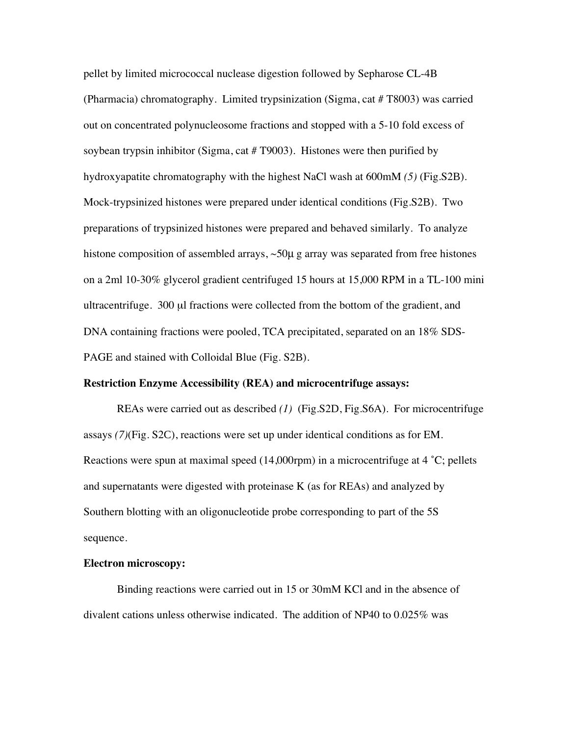pellet by limited micrococcal nuclease digestion followed by Sepharose CL-4B (Pharmacia) chromatography. Limited trypsinization (Sigma, cat # T8003) was carried out on concentrated polynucleosome fractions and stopped with a 5-10 fold excess of soybean trypsin inhibitor (Sigma, cat # T9003). Histones were then purified by hydroxyapatite chromatography with the highest NaCl wash at 600mM *(5)* (Fig.S2B). Mock-trypsinized histones were prepared under identical conditions (Fig.S2B). Two preparations of trypsinized histones were prepared and behaved similarly. To analyze histone composition of assembled arrays, ~50 $\mu$  g array was separated from free histones on a 2ml 10-30% glycerol gradient centrifuged 15 hours at 15,000 RPM in a TL-100 mini ultracentrifuge. 300 µl fractions were collected from the bottom of the gradient, and DNA containing fractions were pooled, TCA precipitated, separated on an 18% SDS-PAGE and stained with Colloidal Blue (Fig. S2B).

### **Restriction Enzyme Accessibility (REA) and microcentrifuge assays:**

REAs were carried out as described *(1)* (Fig.S2D, Fig.S6A). For microcentrifuge assays *(7)*(Fig. S2C), reactions were set up under identical conditions as for EM. Reactions were spun at maximal speed (14,000rpm) in a microcentrifuge at 4 ˚C; pellets and supernatants were digested with proteinase K (as for REAs) and analyzed by Southern blotting with an oligonucleotide probe corresponding to part of the 5S sequence.

### **Electron microscopy:**

Binding reactions were carried out in 15 or 30mM KCl and in the absence of divalent cations unless otherwise indicated. The addition of NP40 to 0.025% was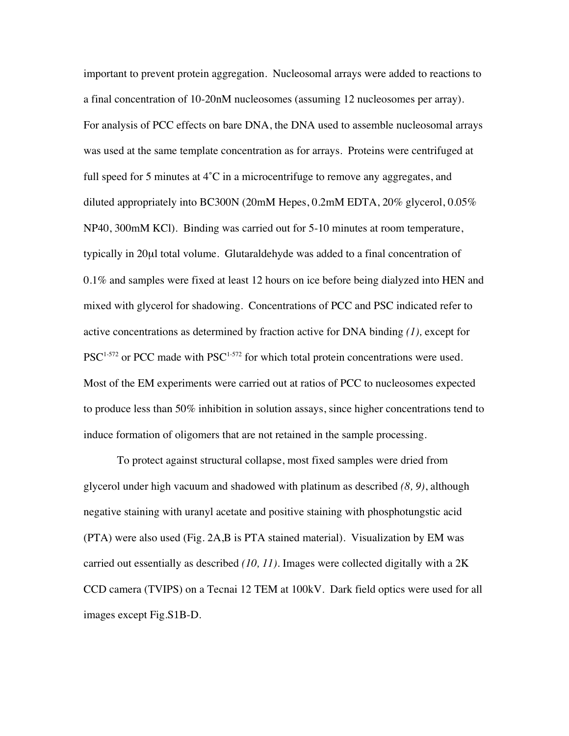important to prevent protein aggregation. Nucleosomal arrays were added to reactions to a final concentration of 10-20nM nucleosomes (assuming 12 nucleosomes per array). For analysis of PCC effects on bare DNA, the DNA used to assemble nucleosomal arrays was used at the same template concentration as for arrays. Proteins were centrifuged at full speed for 5 minutes at  $4^\circ$ C in a microcentrifuge to remove any aggregates, and diluted appropriately into BC300N (20mM Hepes, 0.2mM EDTA, 20% glycerol, 0.05% NP40, 300mM KCl). Binding was carried out for 5-10 minutes at room temperature, typically in 20µl total volume. Glutaraldehyde was added to a final concentration of 0.1% and samples were fixed at least 12 hours on ice before being dialyzed into HEN and mixed with glycerol for shadowing. Concentrations of PCC and PSC indicated refer to active concentrations as determined by fraction active for DNA binding *(1),* except for  $PSC^{1-572}$  or PCC made with  $PSC^{1-572}$  for which total protein concentrations were used. Most of the EM experiments were carried out at ratios of PCC to nucleosomes expected to produce less than 50% inhibition in solution assays, since higher concentrations tend to induce formation of oligomers that are not retained in the sample processing.

To protect against structural collapse, most fixed samples were dried from glycerol under high vacuum and shadowed with platinum as described *(8, 9)*, although negative staining with uranyl acetate and positive staining with phosphotungstic acid (PTA) were also used (Fig. 2A,B is PTA stained material). Visualization by EM was carried out essentially as described *(10, 11)*. Images were collected digitally with a 2K CCD camera (TVIPS) on a Tecnai 12 TEM at 100kV. Dark field optics were used for all images except Fig.S1B-D.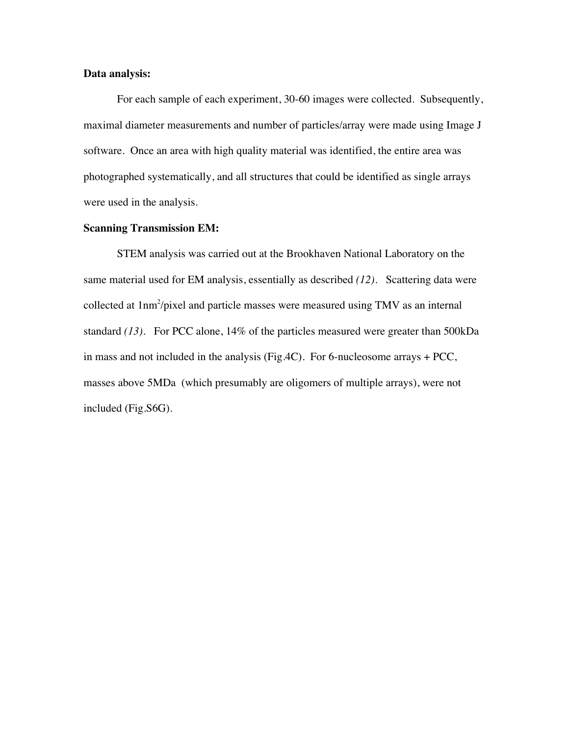### **Data analysis:**

For each sample of each experiment, 30-60 images were collected. Subsequently, maximal diameter measurements and number of particles/array were made using Image J software. Once an area with high quality material was identified, the entire area was photographed systematically, and all structures that could be identified as single arrays were used in the analysis.

#### **Scanning Transmission EM:**

STEM analysis was carried out at the Brookhaven National Laboratory on the same material used for EM analysis, essentially as described *(12)*. Scattering data were collected at 1nm<sup>2</sup>/pixel and particle masses were measured using TMV as an internal standard *(13)*. For PCC alone, 14% of the particles measured were greater than 500kDa in mass and not included in the analysis (Fig.4C). For 6-nucleosome arrays + PCC, masses above 5MDa (which presumably are oligomers of multiple arrays), were not included (Fig.S6G).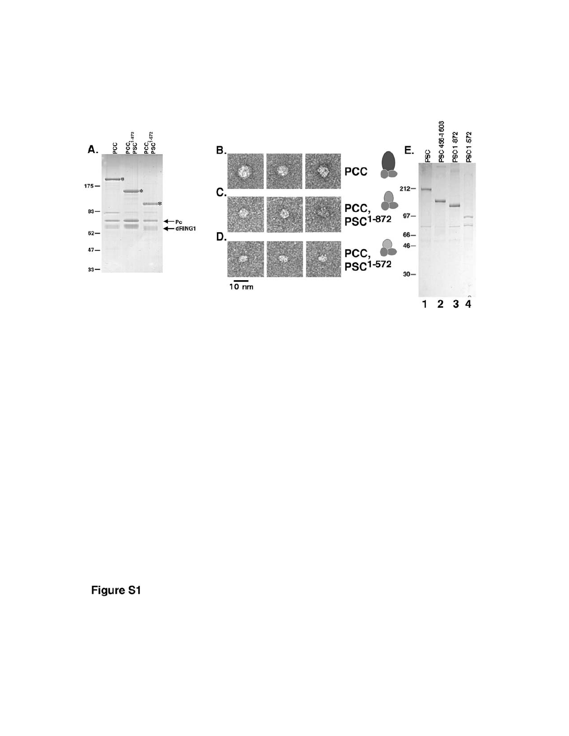

Figure S1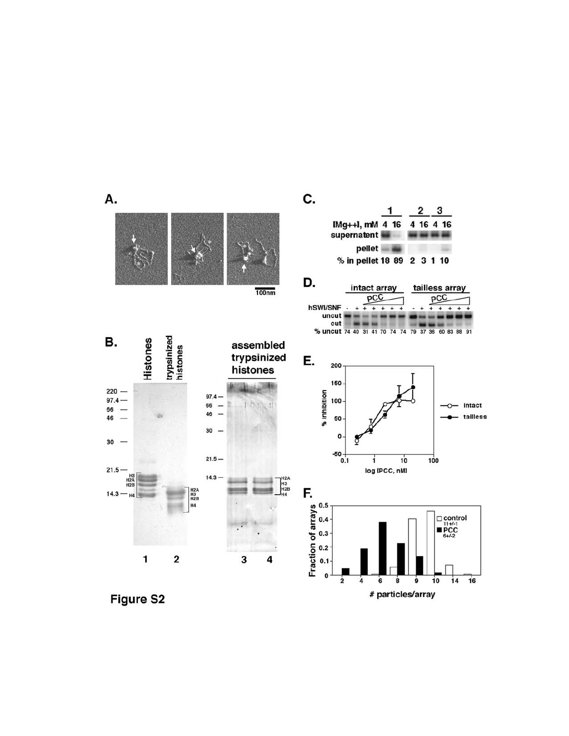

Figure S2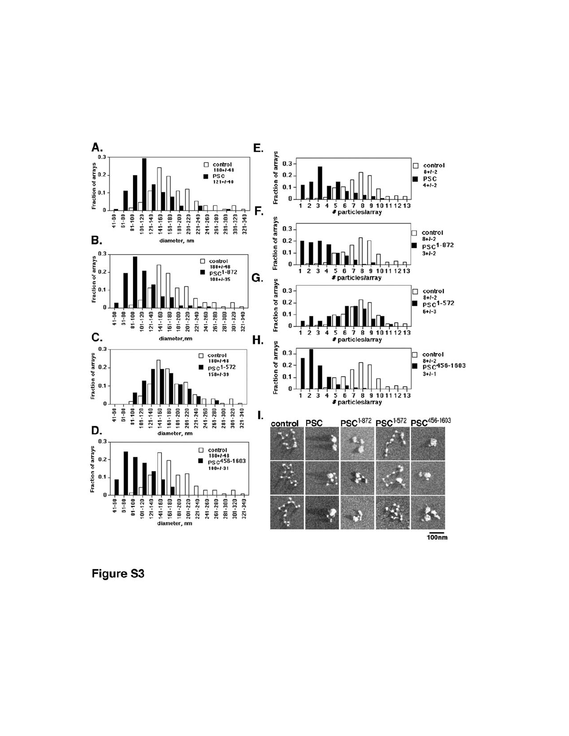

**Figure S3**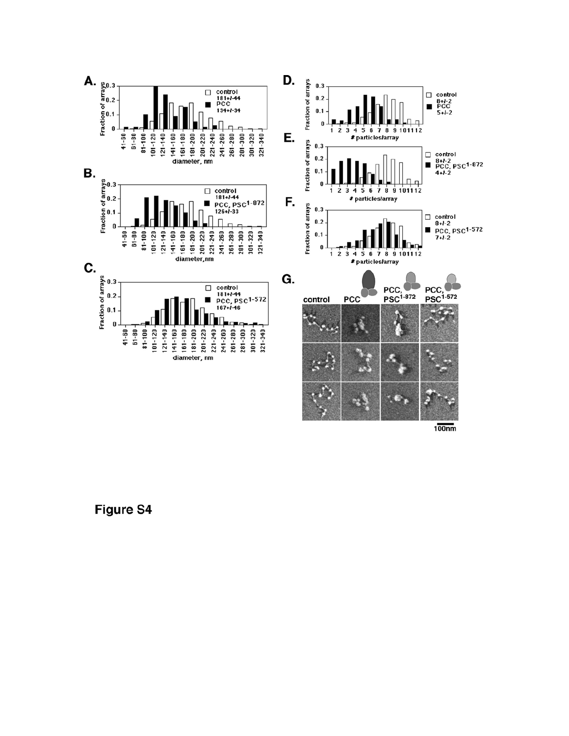

 $100nm$ 

**Figure S4**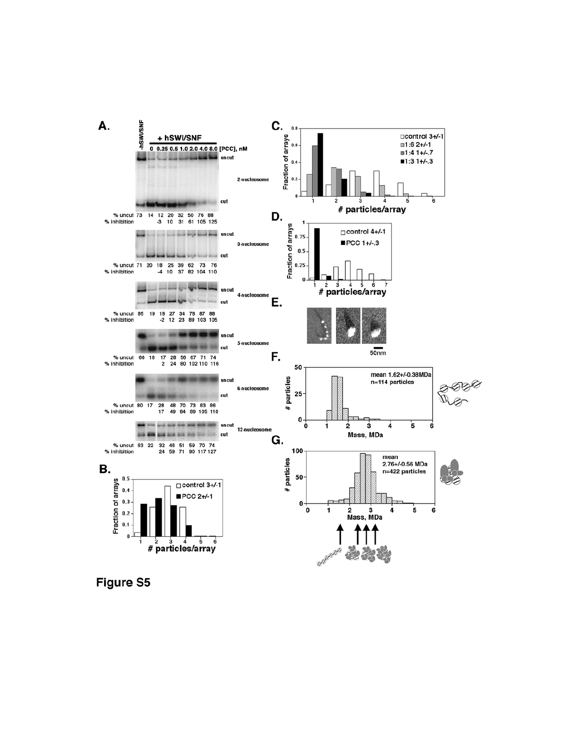

**Figure S5**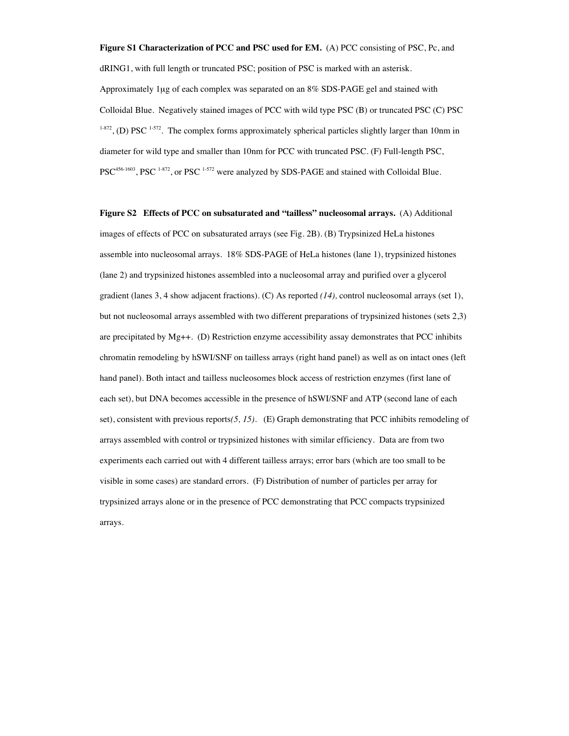**Figure S1 Characterization of PCC and PSC used for EM.** (A) PCC consisting of PSC, Pc, and dRING1, with full length or truncated PSC; position of PSC is marked with an asterisk. Approximately 1µg of each complex was separated on an 8% SDS-PAGE gel and stained with Colloidal Blue. Negatively stained images of PCC with wild type PSC (B) or truncated PSC (C) PSC  $1-872$ , (D) PSC  $1-572$ . The complex forms approximately spherical particles slightly larger than 10nm in diameter for wild type and smaller than 10nm for PCC with truncated PSC. (F) Full-length PSC, PSC<sup>456-1603</sup>, PSC<sup>1-872</sup>, or PSC<sup>1-572</sup> were analyzed by SDS-PAGE and stained with Colloidal Blue.

**Figure S2 Effects of PCC on subsaturated and "tailless" nucleosomal arrays.** (A) Additional images of effects of PCC on subsaturated arrays (see Fig. 2B). (B) Trypsinized HeLa histones assemble into nucleosomal arrays. 18% SDS-PAGE of HeLa histones (lane 1), trypsinized histones (lane 2) and trypsinized histones assembled into a nucleosomal array and purified over a glycerol gradient (lanes 3, 4 show adjacent fractions). (C) As reported *(14),* control nucleosomal arrays (set 1), but not nucleosomal arrays assembled with two different preparations of trypsinized histones (sets 2,3) are precipitated by Mg++. (D) Restriction enzyme accessibility assay demonstrates that PCC inhibits chromatin remodeling by hSWI/SNF on tailless arrays (right hand panel) as well as on intact ones (left hand panel). Both intact and tailless nucleosomes block access of restriction enzymes (first lane of each set), but DNA becomes accessible in the presence of hSWI/SNF and ATP (second lane of each set), consistent with previous reports*(5, 15)*. (E) Graph demonstrating that PCC inhibits remodeling of arrays assembled with control or trypsinized histones with similar efficiency. Data are from two experiments each carried out with 4 different tailless arrays; error bars (which are too small to be visible in some cases) are standard errors. (F) Distribution of number of particles per array for trypsinized arrays alone or in the presence of PCC demonstrating that PCC compacts trypsinized arrays.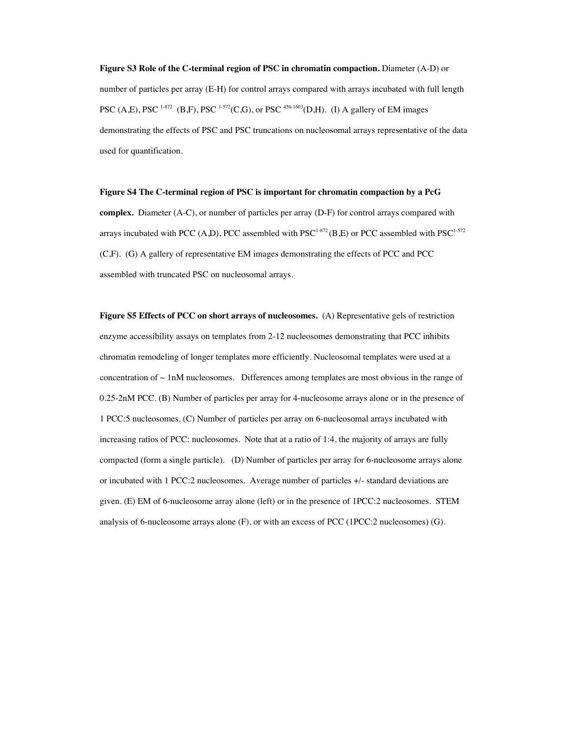**Figure S3 Role of the C-terminal region of PSC in chromatin compaction.** Diameter (A-D) or number of particles per array (E-H) for control arrays compared with arrays incubated with full length PSC (A,E), PSC <sup>1-872</sup> (B,F), PSC <sup>1-572</sup>(C,G), or PSC <sup>456-1603</sup>(D,H). (I) A gallery of EM images demonstrating the effects of PSC and PSC truncations on nucleosomal arrays representative of the data used for quantification.

#### **Figure S4 The C-terminal region of PSC is important for chromatin compaction by a PcG**

**complex.** Diameter (A-C), or number of particles per array (D-F) for control arrays compared with arrays incubated with PCC (A,D), PCC assembled with PSC<sup>1-872</sup> (B,E) or PCC assembled with PSC<sup>1-572</sup> (C,F). (G) A gallery of representative EM images demonstrating the effects of PCC and PCC assembled with truncated PSC on nucleosomal arrays.

**Figure S5 Effects of PCC on short arrays of nucleosomes.** (A) Representative gels of restriction enzyme accessibility assays on templates from 2-12 nucleosomes demonstrating that PCC inhibits chromatin remodeling of longer templates more efficiently. Nucleosomal templates were used at a concentration of  $\sim 1$ nM nucleosomes. Differences among templates are most obvious in the range of 0.25-2nM PCC. (B) Number of particles per array for 4-nucleosome arrays alone or in the presence of 1 PCC:5 nucleosomes. (C) Number of particles per array on 6-nucleosomal arrays incubated with increasing ratios of PCC: nucleosomes. Note that at a ratio of 1:4, the majority of arrays are fully compacted (form a single particle). (D) Number of particles per array for 6-nucleosome arrays alone or incubated with 1 PCC:2 nucleosomes. Average number of particles +/- standard deviations are given. (E) EM of 6-nucleosome array alone (left) or in the presence of 1PCC:2 nucleosomes. STEM analysis of 6-nucleosome arrays alone (F), or with an excess of PCC (1PCC:2 nucleosomes) (G).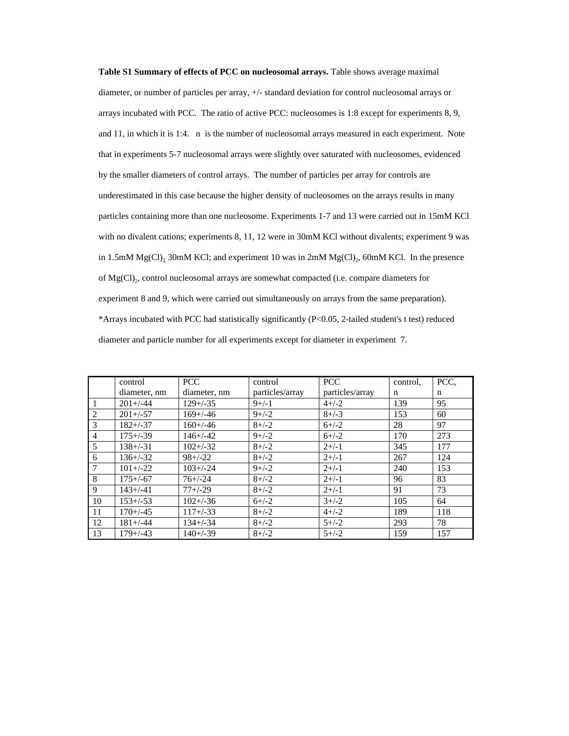**Table S1 Summary of effects of PCC on nucleosomal arrays.** Table shows average maximal diameter, or number of particles per array, +/- standard deviation for control nucleosomal arrays or arrays incubated with PCC. The ratio of active PCC: nucleosomes is 1:8 except for experiments 8, 9, and 11, in which it is 1:4. n is the number of nucleosomal arrays measured in each experiment. Note that in experiments 5-7 nucleosomal arrays were slightly over saturated with nucleosomes, evidenced by the smaller diameters of control arrays. The number of particles per array for controls are underestimated in this case because the higher density of nucleosomes on the arrays results in many particles containing more than one nucleosome. Experiments 1-7 and 13 were carried out in 15mM KCl with no divalent cations; experiments 8, 11, 12 were in 30mM KCl without divalents; experiment 9 was in 1.5mM Mg(Cl), 30mM KCl; and experiment 10 was in 2mM Mg(Cl), 60mM KCl. In the presence of Mg(Cl)<sub>2</sub>, control nucleosomal arrays are somewhat compacted (i.e. compare diameters for experiment 8 and 9, which were carried out simultaneously on arrays from the same preparation). \*Arrays incubated with PCC had statistically significantly (P<0.05, 2-tailed student's t test) reduced diameter and particle number for all experiments except for diameter in experiment 7.

|                | control       | <b>PCC</b>    | control         | <b>PCC</b>      | control. | PCC, |
|----------------|---------------|---------------|-----------------|-----------------|----------|------|
|                | diameter, nm  | diameter, nm  | particles/array | particles/array | n        | n    |
| $\vert$ 1      | $201 + (-44)$ | $129 + (-35)$ | $9+/-1$         | $4+/-2$         | 139      | 95   |
| $\sqrt{2}$     | $201 + (-57)$ | $169 + (-46)$ | $9+/-2$         | $8 + (-3)$      | 153      | 60   |
| $\sqrt{3}$     | $182 + (-37)$ | $160 + (-46)$ | $8 + (-2)$      | $6+/-2$         | 28       | 97   |
| $\sqrt{4}$     | $175 + (-39)$ | $146 + (-42)$ | $9+/-2$         | $6+/-2$         | 170      | 273  |
| $\overline{5}$ | $138 + (-31)$ | $102 + (-32)$ | $8 + (-2)$      | $2+/-1$         | 345      | 177  |
| 6              | $136 + (-32)$ | $98 + (-22)$  | $8 + (-2)$      | $2+/-1$         | 267      | 124  |
| $\sqrt{7}$     | $101 + (-22)$ | $103 + (-24)$ | $9+/-2$         | $2+/-1$         | 240      | 153  |
| $\vert 8$      | $175 + (-67)$ | $76+/-24$     | $8+/-2$         | $2+/-1$         | 96       | 83   |
| l 9            | $143 + (-41)$ | $77 + (-29)$  | $8 + (-2)$      | $2+/-1$         | 91       | 73   |
| $\mid$ 10      | $153 + (-53)$ | $102 + (-36)$ | $6+/-2$         | $3+/-2$         | 105      | 64   |
| l 11           | $170 + (-45)$ | $117 + (-33)$ | $8 + (-2)$      | $4+/-2$         | 189      | 118  |
| $\vert$ 12     | $181 + (-44)$ | $134 + (-34)$ | $8 + (-2)$      | $5+/-2$         | 293      | 78   |
| $\vert$ 13     | $179 + (-43)$ | $140 + (-39)$ | $8 + (-2)$      | $5+/-2$         | 159      | 157  |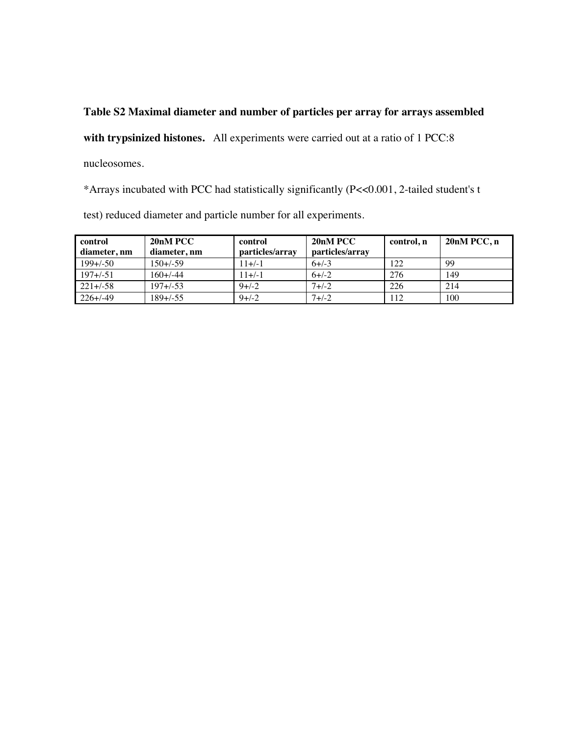# **Table S2 Maximal diameter and number of particles per array for arrays assembled**

**with trypsinized histones.** All experiments were carried out at a ratio of 1 PCC:8

nucleosomes.

\*Arrays incubated with PCC had statistically significantly (P<<0.001, 2-tailed student's t

test) reduced diameter and particle number for all experiments.

| control       | 20nM PCC      | control         | 20 <sub>n</sub> M PCC | control, n | $20nM$ PCC, n |
|---------------|---------------|-----------------|-----------------------|------------|---------------|
| diameter, nm  | diameter, nm  | particles/array | particles/array       |            |               |
| $199 + (-50)$ | $150 + (-59)$ | $11+/-1$        | $6+/-3$               | 122        | 99            |
| $197 + (-51)$ | $160 + (-44)$ | $11+/-1$        | $6+/-2$               | 276        | 149           |
| $221 + (-58)$ | $197 + (-53)$ | $9+/-2$         | $7 + 1 - 2$           | 226        | 214           |
| $226 + (-49)$ | $189 + (-55)$ | $9+/-2$         | $7 + (-2)$            | 112        | 100           |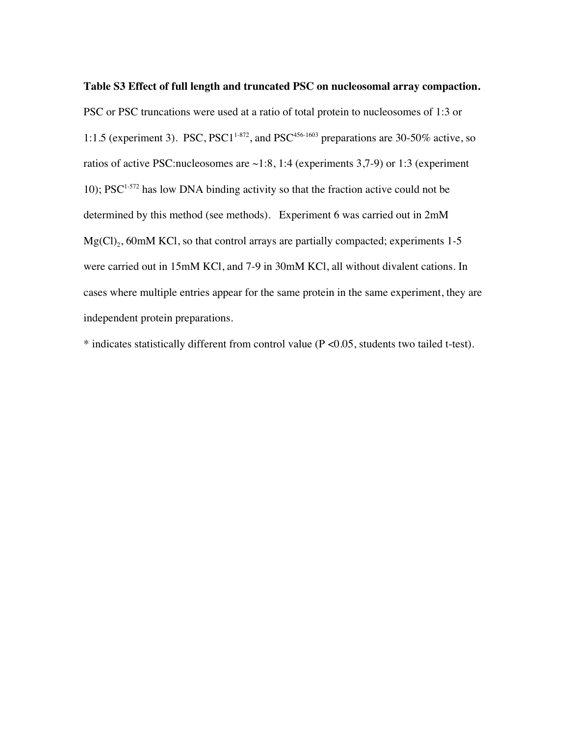PSC or PSC truncations were used at a ratio of total protein to nucleosomes of 1:3 or 1:1.5 (experiment 3). PSC, PSC1<sup>1-872</sup>, and PSC<sup>456-1603</sup> preparations are 30-50% active, so ratios of active PSC:nucleosomes are  $\sim$ 1:8, 1:4 (experiments 3,7-9) or 1:3 (experiment 10);  $PSC^{1-572}$  has low DNA binding activity so that the fraction active could not be determined by this method (see methods). Experiment 6 was carried out in 2mM  $Mg(Cl)_{2}$ , 60mM KCl, so that control arrays are partially compacted; experiments 1-5 were carried out in 15mM KCl, and 7-9 in 30mM KCl, all without divalent cations. In cases where multiple entries appear for the same protein in the same experiment, they are independent protein preparations.

\* indicates statistically different from control value (P <0.05, students two tailed t-test).

## **Table S3 Effect of full length and truncated PSC on nucleosomal array compaction.**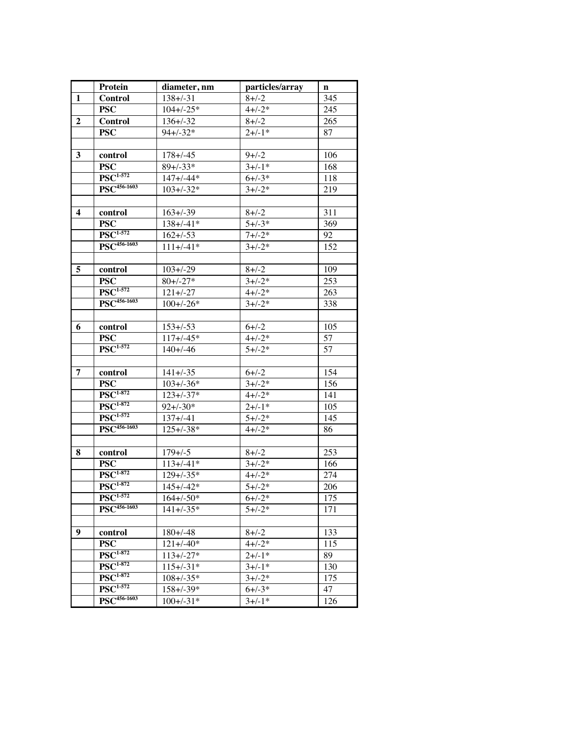|                         | Protein                                         | diameter, nm    | particles/array | n   |
|-------------------------|-------------------------------------------------|-----------------|-----------------|-----|
| $\mathbf{1}$            | <b>Control</b>                                  | $138 + (-31)$   | $8 + (-2)$      | 345 |
|                         | <b>PSC</b>                                      | $104 + (-25)$   | $4 + (-2)$      | 245 |
| $\overline{2}$          | <b>Control</b>                                  | $136 + (-32)$   | $8 + (-2)$      | 265 |
|                         | <b>PSC</b>                                      | $94 + (-32)$    | $2+/-1*$        | 87  |
|                         |                                                 |                 |                 |     |
| 3                       | control                                         | $178 + (-45)$   | $9 + (-2)$      | 106 |
|                         | <b>PSC</b>                                      | $89 + (-33)$    | $3+/-1*$        | 168 |
|                         | $\overline{\mathrm{PSC}}^{1.572}$               | $147 + (-44)$   | $6 + (-3)^{*}$  | 118 |
|                         | $\overline{\mathrm{PSC}^{456\text{-}1603}}$     | $103 + (-32)$   | $3 + (-2)$      | 219 |
|                         |                                                 |                 |                 |     |
| $\overline{\mathbf{4}}$ | control                                         | $163 + (-39)$   | $8 + (-2)$      | 311 |
|                         | <b>PSC</b>                                      | $138 + (-41)$   | $5 + (-3^*)$    | 369 |
|                         | $\overline{\mathrm{PSC}^{1.572}}$               | $162 + (-53)$   | $7 + (-2)$      | 92  |
|                         | $\overline{\mathrm{PSC}^{456\text{-}1603}}$     | $111 + (-41)$   | $3+/-2*$        | 152 |
|                         |                                                 |                 |                 |     |
|                         |                                                 |                 |                 |     |
| 5                       | control                                         | $103 + (-29)$   | $8 + (-2)$      | 109 |
|                         | <b>PSC</b><br>$\overline{\mathrm{PSC}^{1.572}}$ | $80 + (-27)$    | $3+/-2*$        | 253 |
|                         |                                                 | $121 + (-27)$   | $4 + (-2)$      | 263 |
|                         | $\overline{\mathrm{PSC}^{456\text{-}1603}}$     | $100 + (-26)$   | $3 + (-2)$      | 338 |
|                         |                                                 |                 |                 |     |
| 6                       | control                                         | $153 + (-53)$   | $6 + (-2)$      | 105 |
|                         | <b>PSC</b>                                      | $117 + (-45)$   | $4 + (-2)$      | 57  |
|                         | $\overline{\mathrm{PSC}^{1.572}}$               | $140 + (-46)$   | $5 + (-2)$      | 57  |
|                         |                                                 |                 |                 |     |
| 7                       | control                                         | $141 + (-35)$   | $6 + (-2)$      | 154 |
|                         | <b>PSC</b>                                      | $103 + (-36)$   | $3+/-2*$        | 156 |
|                         | $\overline{\mathrm{PSC}^{1\text{-}872}}$        | $123 + (-37)^*$ | $4 + (-2)$      | 141 |
|                         | $\overline{\mathrm{PSC}^{1\text{-}872}}$        | $92 + (-30)^*$  | $2 + (-1)^*$    | 105 |
|                         | $\overline{\mathrm{PSC}^{1.572}}$               | $137 + (-4)$    | $\sqrt{5+/-2*}$ | 145 |
|                         | $\overline{\mathrm{PSC}^{456\text{-}1603}}$     | $125 + (-38)^*$ | $4 + (-2)$      | 86  |
|                         |                                                 |                 |                 |     |
| 8                       | control                                         | $179 + (-5)$    | $8 + (-2)$      | 253 |
|                         | <b>PSC</b>                                      | $113 + (-41)^*$ | $3 + (-2)$      | 166 |
|                         | $\overline{\mathrm{PSC}^{1\text{-}872}}$        | $129 + (-35)$   | $4 + (-2)$      | 274 |
|                         | $\overline{\mathrm{PSC}^{1.872}}$               | $145 + (-42)$   | $5 + (-2)$      | 206 |
|                         | $\overline{\mathrm{PSC}^{1.572}}$               | $164 + (-50)$   | $6+/-2*$        | 175 |
|                         | $PSC456-1603$                                   | $141 + (-35)$   | $5 + (-2)$      | 171 |
|                         |                                                 |                 |                 |     |
| 9                       |                                                 | $180 + (-48)$   | $8 + (-2)$      | 133 |
|                         | control                                         |                 | $4 + (-2)$      |     |
|                         | <b>PSC</b><br>$\overline{\mathrm{PSC}^{1-872}}$ | $121 + (-40)$   |                 | 115 |
|                         |                                                 | $113 + (-27)$   | $2 + (-1)^*$    | 89  |
|                         | $\overline{\mathrm{PSC}^{1\text{-}872}}$        | $115 + (-31)$   | $3+/-1*$        | 130 |
|                         | $\overline{\mathrm{PSC}^{1-872}}$               | $108 + (-35)$   | $3 + (-2)$      | 175 |
|                         | $\overline{\mathrm{PSC}^{1.572}}$               | $158 + (-39)^*$ | $6 + (-3)$      | 47  |
|                         | $PSC456-1603$                                   | $100 + (-31)$   | $3+/-1*$        | 126 |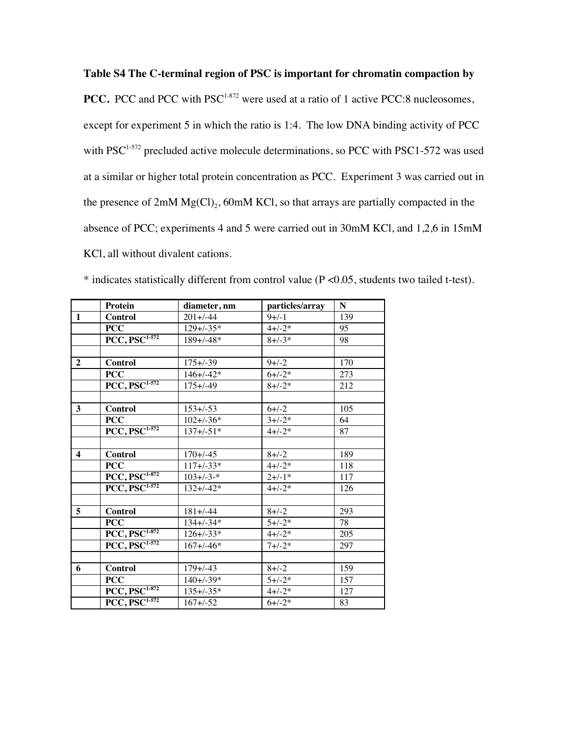**Table S4 The C-terminal region of PSC is important for chromatin compaction by**

**PCC.** PCC and PCC with PSC<sup>1-872</sup> were used at a ratio of 1 active PCC:8 nucleosomes, except for experiment 5 in which the ratio is 1:4. The low DNA binding activity of PCC with PSC<sup>1-572</sup> precluded active molecule determinations, so PCC with PSC1-572 was used at a similar or higher total protein concentration as PCC. Experiment 3 was carried out in the presence of  $2mM Mg(Cl)<sub>2</sub>$ , 60mM KCl, so that arrays are partially compacted in the absence of PCC; experiments 4 and 5 were carried out in 30mM KCl, and 1,2,6 in 15mM KCl, all without divalent cations.

|                         | Protein                                                    | diameter, nm    | particles/array | N   |
|-------------------------|------------------------------------------------------------|-----------------|-----------------|-----|
| $\mathbf{1}$            | <b>Control</b>                                             | $201 + (-44)$   | $9+/-1$         | 139 |
|                         | <b>PCC</b>                                                 | $129 + (-35)$   | $4 + (-2)$      | 95  |
|                         | $\overline{PCC, PSC^{1-572}}$                              | $189 + (-48)$   | $8 + (-3)$      | 98  |
|                         |                                                            |                 |                 |     |
| $\overline{2}$          | <b>Control</b>                                             | $175 + (-39)$   | $9+/-2$         | 170 |
|                         | <b>PCC</b>                                                 | $146 + (-42)$   | $6 + (-2)$      | 273 |
|                         | $\overline{PCC}, \overline{PSC^{1-572}}$                   | $175 + (-49)$   | $8 + (-2)$      | 212 |
|                         |                                                            |                 |                 |     |
| 3                       | <b>Control</b>                                             | $153 + (-53)$   | $6+/-2$         | 105 |
|                         | <b>PCC</b>                                                 | $102 + (-36)^*$ | $3 + (-2)$      | 64  |
|                         | $PCC, \overline{PSC^{1-572}}$                              | $137 + (-51)$   | $4 + (-2)$      | 87  |
|                         |                                                            |                 |                 |     |
| $\overline{\mathbf{4}}$ | <b>Control</b>                                             | $170 + (-45)$   | $8 + (-2)$      | 189 |
|                         | <b>PCC</b>                                                 | $117 + (-33)^*$ | $4 + (-2)$      | 118 |
|                         | $\overline{\mathrm{PCC}}, \overline{\mathrm{PSC}^{1.872}}$ | $103 + (-3)^*$  | $2+/-1*$        | 117 |
|                         | $PCC, PSC1-572$                                            | $132 + (-42)$   | $4 + (-2)$      | 126 |
|                         |                                                            |                 |                 |     |
| $\overline{5}$          | <b>Control</b>                                             | $181 + (-44)$   | $8 + (-2)$      | 293 |
|                         | <b>PCC</b>                                                 | $134 + (-34)$   | $5 + (-2)$      | 78  |
|                         | $\overline{PCC, \overline{PSC}^{1.872}}$                   | $126 + (-33)^*$ | $4 + (-2)$      | 205 |
|                         | $\overline{PCC}, \overline{PSC^{1-572}}$                   | $167 + (-46)$   | $7 + (-2)$      | 297 |
|                         |                                                            |                 |                 |     |
| 6                       | <b>Control</b>                                             | $179 + (-43)$   | $8 + (-2)$      | 159 |
|                         | <b>PCC</b>                                                 | $140 + (-39)$   | $5 + (-2)$      | 157 |
|                         | $PCC, PSC^{1-872}$                                         | $135 + (-35)^*$ | $4 + (-2)$      | 127 |
|                         | $PCC, \overline{PSC}^{1.572}$                              | $167 + (-52)$   | $6 + (-2)$      | 83  |

\* indicates statistically different from control value (P <0.05, students two tailed t-test).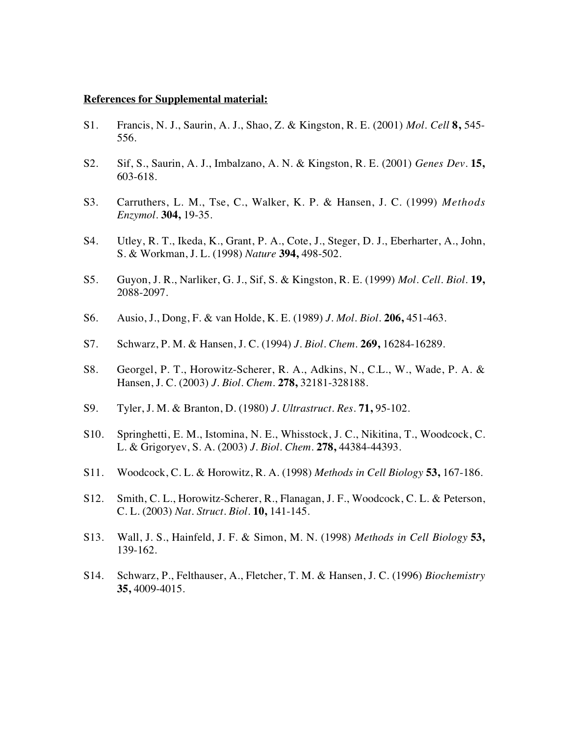#### **References for Supplemental material:**

- S1. Francis, N. J., Saurin, A. J., Shao, Z. & Kingston, R. E. (2001) *Mol. Cell* **8,** 545- 556.
- S2. Sif, S., Saurin, A. J., Imbalzano, A. N. & Kingston, R. E. (2001) *Genes Dev.* **15,** 603-618.
- S3. Carruthers, L. M., Tse, C., Walker, K. P. & Hansen, J. C. (1999) *Methods Enzymol.* **304,** 19-35.
- S4. Utley, R. T., Ikeda, K., Grant, P. A., Cote, J., Steger, D. J., Eberharter, A., John, S. & Workman, J. L. (1998) *Nature* **394,** 498-502.
- S5. Guyon, J. R., Narliker, G. J., Sif, S. & Kingston, R. E. (1999) *Mol. Cell. Biol.* **19,** 2088-2097.
- S6. Ausio, J., Dong, F. & van Holde, K. E. (1989) *J. Mol. Biol.* **206,** 451-463.
- S7. Schwarz, P. M. & Hansen, J. C. (1994) *J. Biol. Chem.* **269,** 16284-16289.
- S8. Georgel, P. T., Horowitz-Scherer, R. A., Adkins, N., C.L., W., Wade, P. A. & Hansen, J. C. (2003) *J. Biol. Chem.* **278,** 32181-328188.
- S9. Tyler, J. M. & Branton, D. (1980) *J. Ultrastruct. Res.* **71,** 95-102.
- S10. Springhetti, E. M., Istomina, N. E., Whisstock, J. C., Nikitina, T., Woodcock, C. L. & Grigoryev, S. A. (2003) *J. Biol. Chem.* **278,** 44384-44393.
- S11. Woodcock, C. L. & Horowitz, R. A. (1998) *Methods in Cell Biology* **53,** 167-186.
- S12. Smith, C. L., Horowitz-Scherer, R., Flanagan, J. F., Woodcock, C. L. & Peterson, C. L. (2003) *Nat. Struct. Biol.* **10,** 141-145.
- S13. Wall, J. S., Hainfeld, J. F. & Simon, M. N. (1998) *Methods in Cell Biology* **53,** 139-162.
- S14. Schwarz, P., Felthauser, A., Fletcher, T. M. & Hansen, J. C. (1996) *Biochemistry* **35,** 4009-4015.